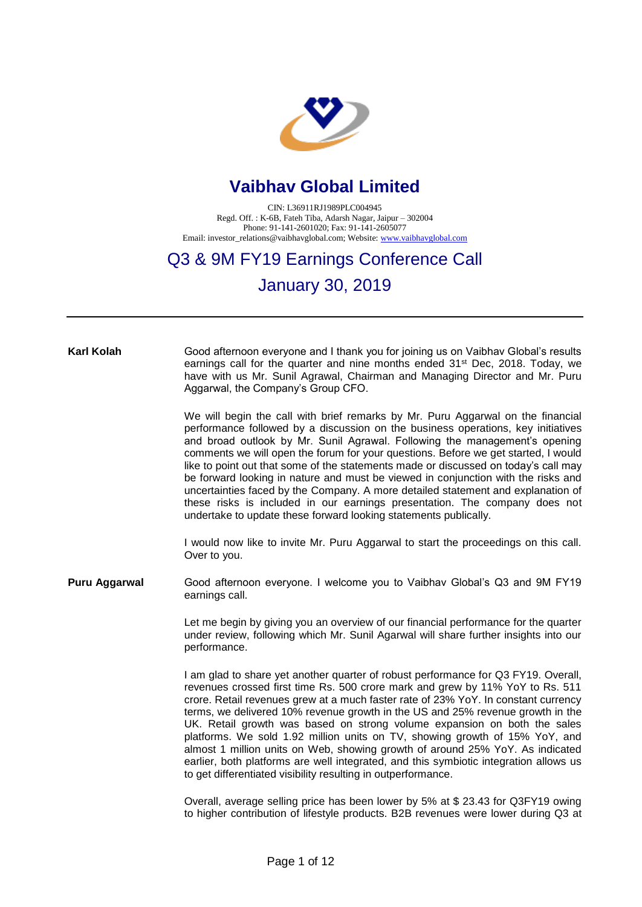

## **Vaibhav Global Limited**

CIN: L36911RJ1989PLC004945 Regd. Off. : K-6B, Fateh Tiba, Adarsh Nagar, Jaipur – 302004 Phone: 91-141-2601020; Fax: 91-141-2605077 Email: investor\_relations@vaibhavglobal.com; Website[: www.vaibhavglobal.com](http://www.vaibhavglobal.com/)

## Q3 & 9M FY19 Earnings Conference Call

## January 30, 2019

## **Karl Kolah** Good afternoon everyone and I thank you for joining us on Vaibhav Global's results earnings call for the quarter and nine months ended 31<sup>st</sup> Dec, 2018. Today, we have with us Mr. Sunil Agrawal, Chairman and Managing Director and Mr. Puru Aggarwal, the Company's Group CFO. We will begin the call with brief remarks by Mr. Puru Aggarwal on the financial performance followed by a discussion on the business operations, key initiatives and broad outlook by Mr. Sunil Agrawal. Following the management's opening

comments we will open the forum for your questions. Before we get started, I would like to point out that some of the statements made or discussed on today's call may be forward looking in nature and must be viewed in conjunction with the risks and uncertainties faced by the Company. A more detailed statement and explanation of these risks is included in our earnings presentation. The company does not undertake to update these forward looking statements publically.

I would now like to invite Mr. Puru Aggarwal to start the proceedings on this call. Over to you.

**Puru Aggarwal** Good afternoon everyone. I welcome you to Vaibhav Global's Q3 and 9M FY19 earnings call.

> Let me begin by giving you an overview of our financial performance for the quarter under review, following which Mr. Sunil Agarwal will share further insights into our performance.

> I am glad to share yet another quarter of robust performance for Q3 FY19. Overall, revenues crossed first time Rs. 500 crore mark and grew by 11% YoY to Rs. 511 crore. Retail revenues grew at a much faster rate of 23% YoY. In constant currency terms, we delivered 10% revenue growth in the US and 25% revenue growth in the UK. Retail growth was based on strong volume expansion on both the sales platforms. We sold 1.92 million units on TV, showing growth of 15% YoY, and almost 1 million units on Web, showing growth of around 25% YoY. As indicated earlier, both platforms are well integrated, and this symbiotic integration allows us to get differentiated visibility resulting in outperformance.

> Overall, average selling price has been lower by 5% at \$ 23.43 for Q3FY19 owing to higher contribution of lifestyle products. B2B revenues were lower during Q3 at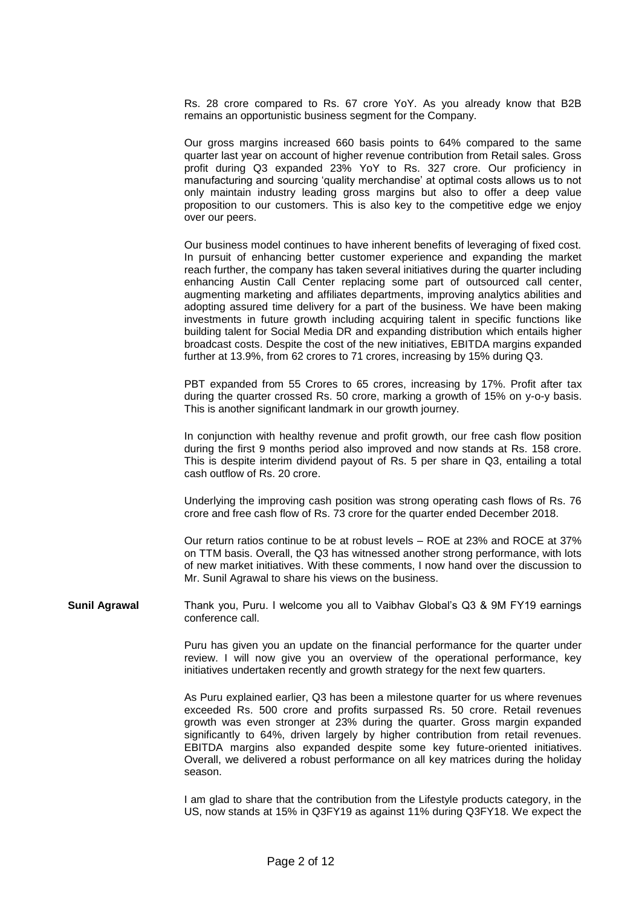Rs. 28 crore compared to Rs. 67 crore YoY. As you already know that B2B remains an opportunistic business segment for the Company.

Our gross margins increased 660 basis points to 64% compared to the same quarter last year on account of higher revenue contribution from Retail sales. Gross profit during Q3 expanded 23% YoY to Rs. 327 crore. Our proficiency in manufacturing and sourcing 'quality merchandise' at optimal costs allows us to not only maintain industry leading gross margins but also to offer a deep value proposition to our customers. This is also key to the competitive edge we enjoy over our peers.

Our business model continues to have inherent benefits of leveraging of fixed cost. In pursuit of enhancing better customer experience and expanding the market reach further, the company has taken several initiatives during the quarter including enhancing Austin Call Center replacing some part of outsourced call center, augmenting marketing and affiliates departments, improving analytics abilities and adopting assured time delivery for a part of the business. We have been making investments in future growth including acquiring talent in specific functions like building talent for Social Media DR and expanding distribution which entails higher broadcast costs. Despite the cost of the new initiatives, EBITDA margins expanded further at 13.9%, from 62 crores to 71 crores, increasing by 15% during Q3.

PBT expanded from 55 Crores to 65 crores, increasing by 17%. Profit after tax during the quarter crossed Rs. 50 crore, marking a growth of 15% on y-o-y basis. This is another significant landmark in our growth journey.

In conjunction with healthy revenue and profit growth, our free cash flow position during the first 9 months period also improved and now stands at Rs. 158 crore. This is despite interim dividend payout of Rs. 5 per share in Q3, entailing a total cash outflow of Rs. 20 crore.

Underlying the improving cash position was strong operating cash flows of Rs. 76 crore and free cash flow of Rs. 73 crore for the quarter ended December 2018.

Our return ratios continue to be at robust levels – ROE at 23% and ROCE at 37% on TTM basis. Overall, the Q3 has witnessed another strong performance, with lots of new market initiatives. With these comments, I now hand over the discussion to Mr. Sunil Agrawal to share his views on the business.

**Sunil Agrawal** Thank you, Puru. I welcome you all to Vaibhav Global's Q3 & 9M FY19 earnings conference call.

> Puru has given you an update on the financial performance for the quarter under review. I will now give you an overview of the operational performance, key initiatives undertaken recently and growth strategy for the next few quarters.

> As Puru explained earlier, Q3 has been a milestone quarter for us where revenues exceeded Rs. 500 crore and profits surpassed Rs. 50 crore. Retail revenues growth was even stronger at 23% during the quarter. Gross margin expanded significantly to 64%, driven largely by higher contribution from retail revenues. EBITDA margins also expanded despite some key future-oriented initiatives. Overall, we delivered a robust performance on all key matrices during the holiday season.

> I am glad to share that the contribution from the Lifestyle products category, in the US, now stands at 15% in Q3FY19 as against 11% during Q3FY18. We expect the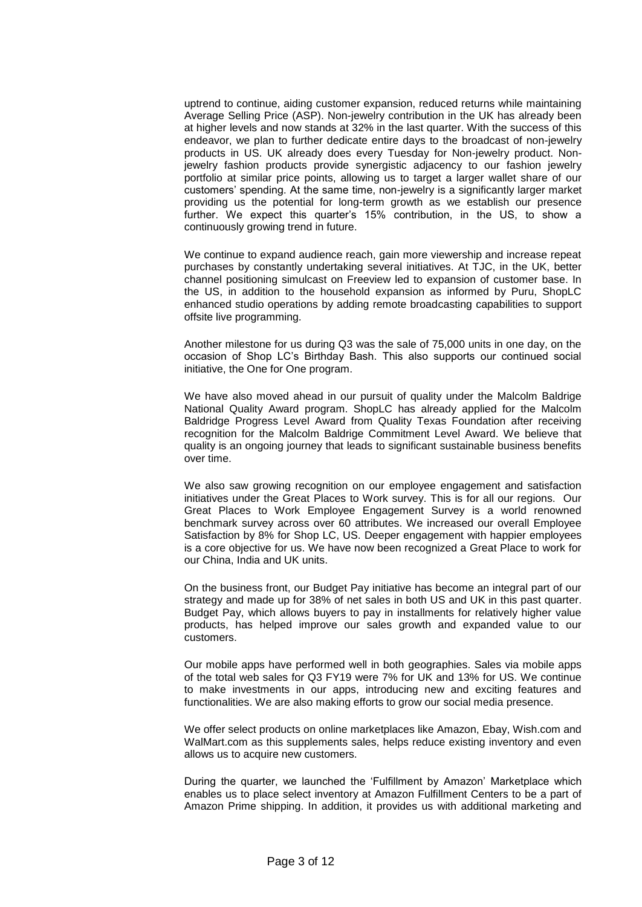uptrend to continue, aiding customer expansion, reduced returns while maintaining Average Selling Price (ASP). Non-jewelry contribution in the UK has already been at higher levels and now stands at 32% in the last quarter. With the success of this endeavor, we plan to further dedicate entire days to the broadcast of non-jewelry products in US. UK already does every Tuesday for Non-jewelry product. Nonjewelry fashion products provide synergistic adjacency to our fashion jewelry portfolio at similar price points, allowing us to target a larger wallet share of our customers' spending. At the same time, non-jewelry is a significantly larger market providing us the potential for long-term growth as we establish our presence further. We expect this quarter's 15% contribution, in the US, to show a continuously growing trend in future.

We continue to expand audience reach, gain more viewership and increase repeat purchases by constantly undertaking several initiatives. At TJC, in the UK, better channel positioning simulcast on Freeview led to expansion of customer base. In the US, in addition to the household expansion as informed by Puru, ShopLC enhanced studio operations by adding remote broadcasting capabilities to support offsite live programming.

Another milestone for us during Q3 was the sale of 75,000 units in one day, on the occasion of Shop LC's Birthday Bash. This also supports our continued social initiative, the One for One program.

We have also moved ahead in our pursuit of quality under the Malcolm Baldrige National Quality Award program. ShopLC has already applied for the Malcolm Baldridge Progress Level Award from Quality Texas Foundation after receiving recognition for the Malcolm Baldrige Commitment Level Award. We believe that quality is an ongoing journey that leads to significant sustainable business benefits over time.

We also saw growing recognition on our employee engagement and satisfaction initiatives under the Great Places to Work survey. This is for all our regions. Our Great Places to Work Employee Engagement Survey is a world renowned benchmark survey across over 60 attributes. We increased our overall Employee Satisfaction by 8% for Shop LC, US. Deeper engagement with happier employees is a core objective for us. We have now been recognized a Great Place to work for our China, India and UK units.

On the business front, our Budget Pay initiative has become an integral part of our strategy and made up for 38% of net sales in both US and UK in this past quarter. Budget Pay, which allows buyers to pay in installments for relatively higher value products, has helped improve our sales growth and expanded value to our customers.

Our mobile apps have performed well in both geographies. Sales via mobile apps of the total web sales for Q3 FY19 were 7% for UK and 13% for US. We continue to make investments in our apps, introducing new and exciting features and functionalities. We are also making efforts to grow our social media presence.

We offer select products on online marketplaces like Amazon, Ebay, Wish.com and WalMart.com as this supplements sales, helps reduce existing inventory and even allows us to acquire new customers.

During the quarter, we launched the 'Fulfillment by Amazon' Marketplace which enables us to place select inventory at Amazon Fulfillment Centers to be a part of Amazon Prime shipping. In addition, it provides us with additional marketing and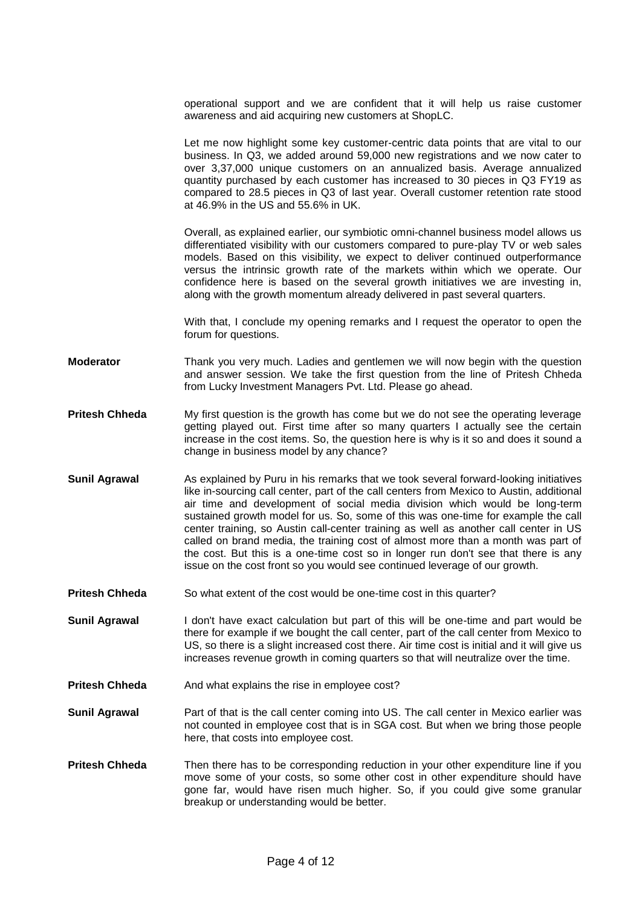operational support and we are confident that it will help us raise customer awareness and aid acquiring new customers at ShopLC.

Let me now highlight some key customer-centric data points that are vital to our business. In Q3, we added around 59,000 new registrations and we now cater to over 3,37,000 unique customers on an annualized basis. Average annualized quantity purchased by each customer has increased to 30 pieces in Q3 FY19 as compared to 28.5 pieces in Q3 of last year. Overall customer retention rate stood at 46.9% in the US and 55.6% in UK.

Overall, as explained earlier, our symbiotic omni-channel business model allows us differentiated visibility with our customers compared to pure-play TV or web sales models. Based on this visibility, we expect to deliver continued outperformance versus the intrinsic growth rate of the markets within which we operate. Our confidence here is based on the several growth initiatives we are investing in, along with the growth momentum already delivered in past several quarters.

With that, I conclude my opening remarks and I request the operator to open the forum for questions.

- **Moderator** Thank you very much. Ladies and gentlemen we will now begin with the question and answer session. We take the first question from the line of Pritesh Chheda from Lucky Investment Managers Pvt. Ltd. Please go ahead.
- **Pritesh Chheda** My first question is the growth has come but we do not see the operating leverage getting played out. First time after so many quarters I actually see the certain increase in the cost items. So, the question here is why is it so and does it sound a change in business model by any chance?
- **Sunil Agrawal** As explained by Puru in his remarks that we took several forward-looking initiatives like in-sourcing call center, part of the call centers from Mexico to Austin, additional air time and development of social media division which would be long-term sustained growth model for us. So, some of this was one-time for example the call center training, so Austin call-center training as well as another call center in US called on brand media, the training cost of almost more than a month was part of the cost. But this is a one-time cost so in longer run don't see that there is any issue on the cost front so you would see continued leverage of our growth.
- **Pritesh Chheda** So what extent of the cost would be one-time cost in this quarter?
- **Sunil Agrawal** I don't have exact calculation but part of this will be one-time and part would be there for example if we bought the call center, part of the call center from Mexico to US, so there is a slight increased cost there. Air time cost is initial and it will give us increases revenue growth in coming quarters so that will neutralize over the time.
- **Pritesh Chheda** And what explains the rise in employee cost?
- **Sunil Agrawal** Part of that is the call center coming into US. The call center in Mexico earlier was not counted in employee cost that is in SGA cost. But when we bring those people here, that costs into employee cost.
- **Pritesh Chheda** Then there has to be corresponding reduction in your other expenditure line if you move some of your costs, so some other cost in other expenditure should have gone far, would have risen much higher. So, if you could give some granular breakup or understanding would be better.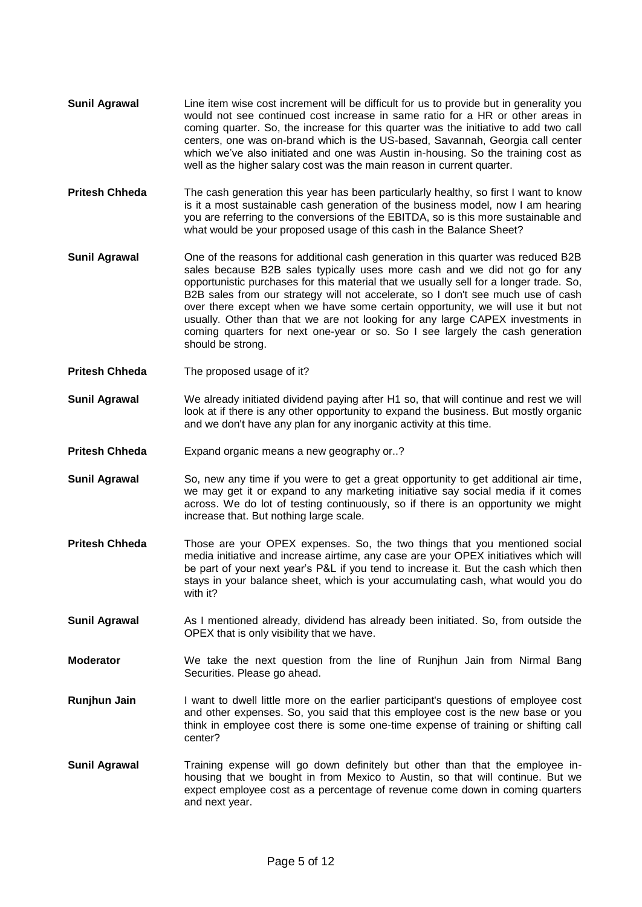- **Sunil Agrawal** Line item wise cost increment will be difficult for us to provide but in generality you would not see continued cost increase in same ratio for a HR or other areas in coming quarter. So, the increase for this quarter was the initiative to add two call centers, one was on-brand which is the US-based, Savannah, Georgia call center which we've also initiated and one was Austin in-housing. So the training cost as well as the higher salary cost was the main reason in current quarter.
- **Pritesh Chheda** The cash generation this year has been particularly healthy, so first I want to know is it a most sustainable cash generation of the business model, now I am hearing you are referring to the conversions of the EBITDA, so is this more sustainable and what would be your proposed usage of this cash in the Balance Sheet?
- **Sunil Agrawal** One of the reasons for additional cash generation in this quarter was reduced B2B sales because B2B sales typically uses more cash and we did not go for any opportunistic purchases for this material that we usually sell for a longer trade. So, B2B sales from our strategy will not accelerate, so I don't see much use of cash over there except when we have some certain opportunity, we will use it but not usually. Other than that we are not looking for any large CAPEX investments in coming quarters for next one-year or so. So I see largely the cash generation should be strong.
- **Pritesh Chheda** The proposed usage of it?
- **Sunil Agrawal** We already initiated dividend paying after H1 so, that will continue and rest we will look at if there is any other opportunity to expand the business. But mostly organic and we don't have any plan for any inorganic activity at this time.
- **Pritesh Chheda** Expand organic means a new geography or..?
- **Sunil Agrawal** So, new any time if you were to get a great opportunity to get additional air time, we may get it or expand to any marketing initiative say social media if it comes across. We do lot of testing continuously, so if there is an opportunity we might increase that. But nothing large scale.
- **Pritesh Chheda** Those are your OPEX expenses. So, the two things that you mentioned social media initiative and increase airtime, any case are your OPEX initiatives which will be part of your next year's P&L if you tend to increase it. But the cash which then stays in your balance sheet, which is your accumulating cash, what would you do with it?
- **Sunil Agrawal** As I mentioned already, dividend has already been initiated. So, from outside the OPEX that is only visibility that we have.
- **Moderator** We take the next question from the line of Runjhun Jain from Nirmal Bang Securities. Please go ahead.
- **Runjhun Jain** I want to dwell little more on the earlier participant's questions of employee cost and other expenses. So, you said that this employee cost is the new base or you think in employee cost there is some one-time expense of training or shifting call center?
- **Sunil Agrawal** Training expense will go down definitely but other than that the employee inhousing that we bought in from Mexico to Austin, so that will continue. But we expect employee cost as a percentage of revenue come down in coming quarters and next year.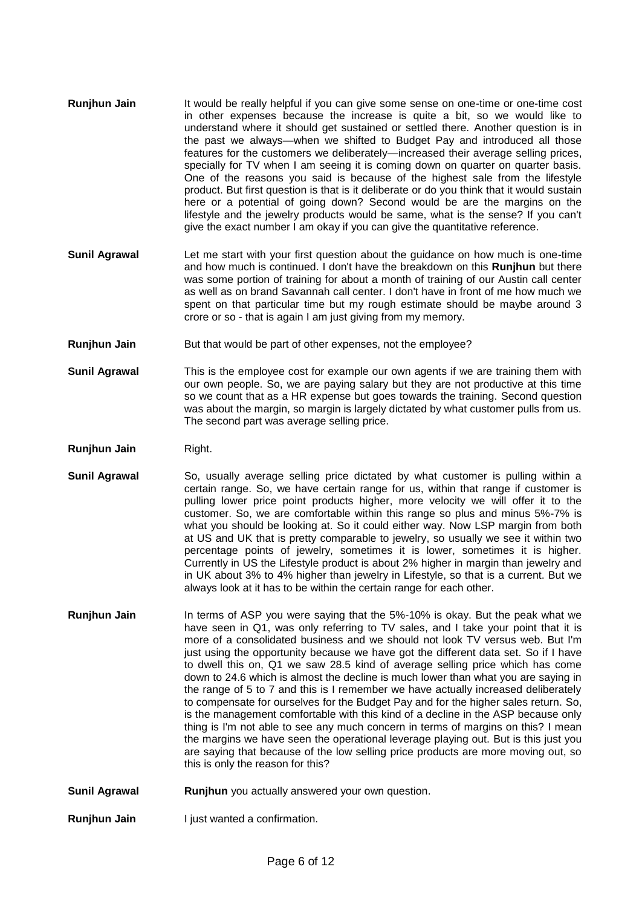- **Runjhun Jain** It would be really helpful if you can give some sense on one-time or one-time cost in other expenses because the increase is quite a bit, so we would like to understand where it should get sustained or settled there. Another question is in the past we always—when we shifted to Budget Pay and introduced all those features for the customers we deliberately—increased their average selling prices, specially for TV when I am seeing it is coming down on quarter on quarter basis. One of the reasons you said is because of the highest sale from the lifestyle product. But first question is that is it deliberate or do you think that it would sustain here or a potential of going down? Second would be are the margins on the lifestyle and the jewelry products would be same, what is the sense? If you can't give the exact number I am okay if you can give the quantitative reference.
- **Sunil Agrawal** Let me start with your first question about the guidance on how much is one-time and how much is continued. I don't have the breakdown on this **Runjhun** but there was some portion of training for about a month of training of our Austin call center as well as on brand Savannah call center. I don't have in front of me how much we spent on that particular time but my rough estimate should be maybe around 3 crore or so - that is again I am just giving from my memory.
- **Runjhun Jain** But that would be part of other expenses, not the employee?
- **Sunil Agrawal** This is the employee cost for example our own agents if we are training them with our own people. So, we are paying salary but they are not productive at this time so we count that as a HR expense but goes towards the training. Second question was about the margin, so margin is largely dictated by what customer pulls from us. The second part was average selling price.
- **Runjhun Jain** Right.
- **Sunil Agrawal** So, usually average selling price dictated by what customer is pulling within a certain range. So, we have certain range for us, within that range if customer is pulling lower price point products higher, more velocity we will offer it to the customer. So, we are comfortable within this range so plus and minus 5%-7% is what you should be looking at. So it could either way. Now LSP margin from both at US and UK that is pretty comparable to jewelry, so usually we see it within two percentage points of jewelry, sometimes it is lower, sometimes it is higher. Currently in US the Lifestyle product is about 2% higher in margin than jewelry and in UK about 3% to 4% higher than jewelry in Lifestyle, so that is a current. But we always look at it has to be within the certain range for each other.
- **Runjhun Jain** In terms of ASP you were saying that the 5%-10% is okay. But the peak what we have seen in Q1, was only referring to TV sales, and I take your point that it is more of a consolidated business and we should not look TV versus web. But I'm just using the opportunity because we have got the different data set. So if I have to dwell this on, Q1 we saw 28.5 kind of average selling price which has come down to 24.6 which is almost the decline is much lower than what you are saying in the range of 5 to 7 and this is I remember we have actually increased deliberately to compensate for ourselves for the Budget Pay and for the higher sales return. So, is the management comfortable with this kind of a decline in the ASP because only thing is I'm not able to see any much concern in terms of margins on this? I mean the margins we have seen the operational leverage playing out. But is this just you are saying that because of the low selling price products are more moving out, so this is only the reason for this?
- **Sunil Agrawal <b>Runjhun** you actually answered your own question.

**Runjhun Jain** I just wanted a confirmation.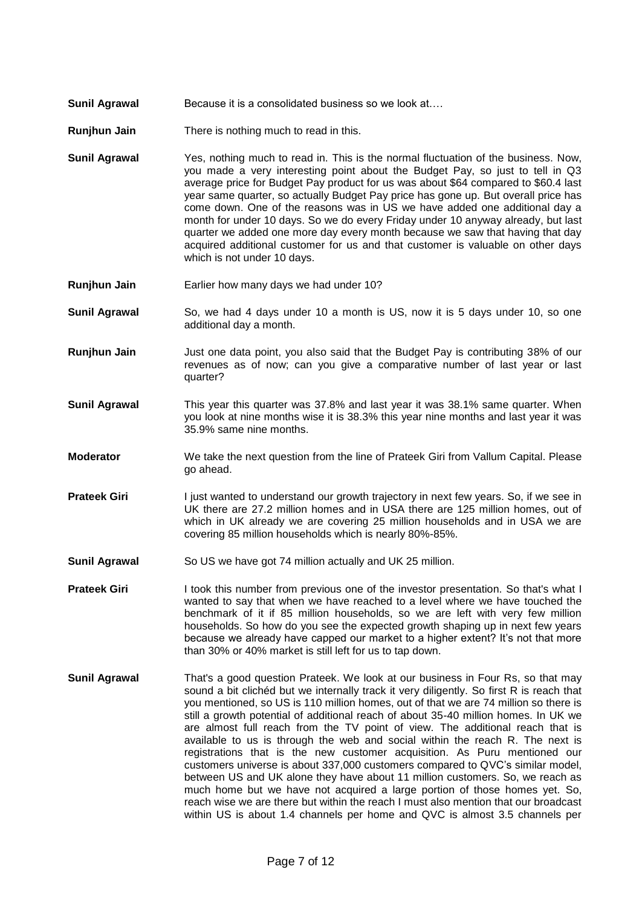- **Sunil Agrawal Because it is a consolidated business so we look at....**
- **Runjhun Jain** There is nothing much to read in this.
- **Sunil Agrawal** Yes, nothing much to read in. This is the normal fluctuation of the business. Now, you made a very interesting point about the Budget Pay, so just to tell in Q3 average price for Budget Pay product for us was about \$64 compared to \$60.4 last year same quarter, so actually Budget Pay price has gone up. But overall price has come down. One of the reasons was in US we have added one additional day a month for under 10 days. So we do every Friday under 10 anyway already, but last quarter we added one more day every month because we saw that having that day acquired additional customer for us and that customer is valuable on other days which is not under 10 days.
- **Runjhun Jain** Earlier how many days we had under 10?
- **Sunil Agrawal** So, we had 4 days under 10 a month is US, now it is 5 days under 10, so one additional day a month.
- **Runjhun Jain** Just one data point, you also said that the Budget Pay is contributing 38% of our revenues as of now; can you give a comparative number of last year or last quarter?
- **Sunil Agrawal** This year this quarter was 37.8% and last year it was 38.1% same quarter. When you look at nine months wise it is 38.3% this year nine months and last year it was 35.9% same nine months.
- **Moderator** We take the next question from the line of Prateek Giri from Vallum Capital. Please go ahead.
- **Prateek Giri** I just wanted to understand our growth trajectory in next few years. So, if we see in UK there are 27.2 million homes and in USA there are 125 million homes, out of which in UK already we are covering 25 million households and in USA we are covering 85 million households which is nearly 80%-85%.
- **Sunil Agrawal** So US we have got 74 million actually and UK 25 million.
- **Prateek Giri** I took this number from previous one of the investor presentation. So that's what I wanted to say that when we have reached to a level where we have touched the benchmark of it if 85 million households, so we are left with very few million households. So how do you see the expected growth shaping up in next few years because we already have capped our market to a higher extent? It's not that more than 30% or 40% market is still left for us to tap down.
- **Sunil Agrawal** That's a good question Prateek. We look at our business in Four Rs, so that may sound a bit clichéd but we internally track it very diligently. So first R is reach that you mentioned, so US is 110 million homes, out of that we are 74 million so there is still a growth potential of additional reach of about 35-40 million homes. In UK we are almost full reach from the TV point of view. The additional reach that is available to us is through the web and social within the reach R. The next is registrations that is the new customer acquisition. As Puru mentioned our customers universe is about 337,000 customers compared to QVC's similar model, between US and UK alone they have about 11 million customers. So, we reach as much home but we have not acquired a large portion of those homes yet. So, reach wise we are there but within the reach I must also mention that our broadcast within US is about 1.4 channels per home and QVC is almost 3.5 channels per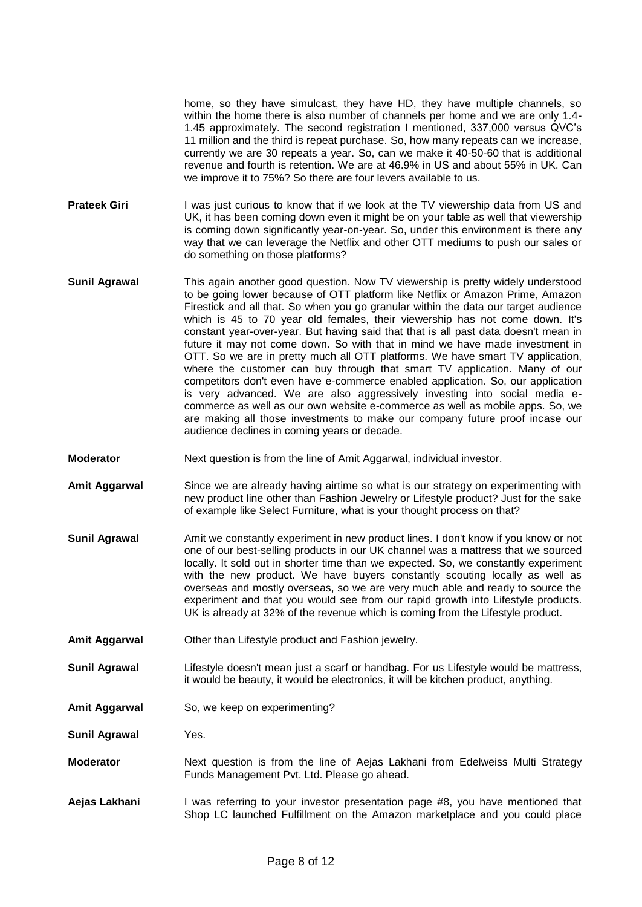home, so they have simulcast, they have HD, they have multiple channels, so within the home there is also number of channels per home and we are only 1.4- 1.45 approximately. The second registration I mentioned, 337,000 versus QVC's 11 million and the third is repeat purchase. So, how many repeats can we increase, currently we are 30 repeats a year. So, can we make it 40-50-60 that is additional revenue and fourth is retention. We are at 46.9% in US and about 55% in UK. Can we improve it to 75%? So there are four levers available to us.

- **Prateek Giri** I was just curious to know that if we look at the TV viewership data from US and UK, it has been coming down even it might be on your table as well that viewership is coming down significantly year-on-year. So, under this environment is there any way that we can leverage the Netflix and other OTT mediums to push our sales or do something on those platforms?
- **Sunil Agrawal** This again another good question. Now TV viewership is pretty widely understood to be going lower because of OTT platform like Netflix or Amazon Prime, Amazon Firestick and all that. So when you go granular within the data our target audience which is 45 to 70 year old females, their viewership has not come down. It's constant year-over-year. But having said that that is all past data doesn't mean in future it may not come down. So with that in mind we have made investment in OTT. So we are in pretty much all OTT platforms. We have smart TV application, where the customer can buy through that smart TV application. Many of our competitors don't even have e-commerce enabled application. So, our application is very advanced. We are also aggressively investing into social media ecommerce as well as our own website e-commerce as well as mobile apps. So, we are making all those investments to make our company future proof incase our audience declines in coming years or decade.
- **Moderator** Next question is from the line of Amit Aggarwal, individual investor.
- **Amit Aggarwal** Since we are already having airtime so what is our strategy on experimenting with new product line other than Fashion Jewelry or Lifestyle product? Just for the sake of example like Select Furniture, what is your thought process on that?
- **Sunil Agrawal** Amit we constantly experiment in new product lines. I don't know if you know or not one of our best-selling products in our UK channel was a mattress that we sourced locally. It sold out in shorter time than we expected. So, we constantly experiment with the new product. We have buyers constantly scouting locally as well as overseas and mostly overseas, so we are very much able and ready to source the experiment and that you would see from our rapid growth into Lifestyle products. UK is already at 32% of the revenue which is coming from the Lifestyle product.
- **Amit Aggarwal** Other than Lifestyle product and Fashion jewelry.
- **Sunil Agrawal** Lifestyle doesn't mean just a scarf or handbag. For us Lifestyle would be mattress, it would be beauty, it would be electronics, it will be kitchen product, anything.
- **Amit Aggarwal** So, we keep on experimenting?

**Sunil Agrawal** Yes.

- **Moderator** Next question is from the line of Aejas Lakhani from Edelweiss Multi Strategy Funds Management Pvt. Ltd. Please go ahead.
- **Aejas Lakhani** I was referring to your investor presentation page #8, you have mentioned that Shop LC launched Fulfillment on the Amazon marketplace and you could place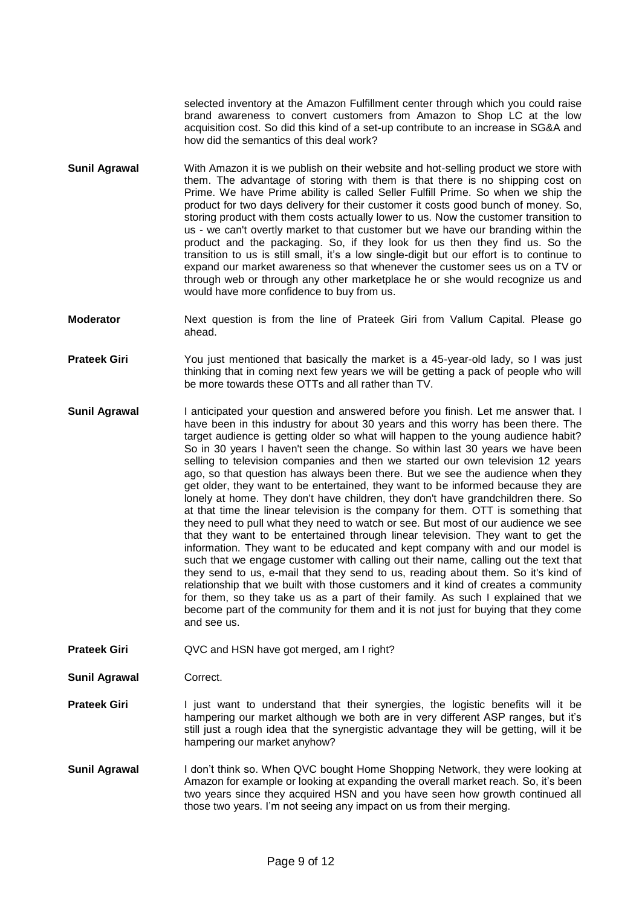selected inventory at the Amazon Fulfillment center through which you could raise brand awareness to convert customers from Amazon to Shop LC at the low acquisition cost. So did this kind of a set-up contribute to an increase in SG&A and how did the semantics of this deal work?

- **Sunil Agrawal** With Amazon it is we publish on their website and hot-selling product we store with them. The advantage of storing with them is that there is no shipping cost on Prime. We have Prime ability is called Seller Fulfill Prime. So when we ship the product for two days delivery for their customer it costs good bunch of money. So, storing product with them costs actually lower to us. Now the customer transition to us - we can't overtly market to that customer but we have our branding within the product and the packaging. So, if they look for us then they find us. So the transition to us is still small, it's a low single-digit but our effort is to continue to expand our market awareness so that whenever the customer sees us on a TV or through web or through any other marketplace he or she would recognize us and would have more confidence to buy from us.
- **Moderator** Next question is from the line of Prateek Giri from Vallum Capital. Please go ahead.
- **Prateek Giri** You just mentioned that basically the market is a 45-year-old lady, so I was just thinking that in coming next few years we will be getting a pack of people who will be more towards these OTTs and all rather than TV.
- **Sunil Agrawal** I anticipated your question and answered before you finish. Let me answer that. I have been in this industry for about 30 years and this worry has been there. The target audience is getting older so what will happen to the young audience habit? So in 30 years I haven't seen the change. So within last 30 years we have been selling to television companies and then we started our own television 12 years ago, so that question has always been there. But we see the audience when they get older, they want to be entertained, they want to be informed because they are lonely at home. They don't have children, they don't have grandchildren there. So at that time the linear television is the company for them. OTT is something that they need to pull what they need to watch or see. But most of our audience we see that they want to be entertained through linear television. They want to get the information. They want to be educated and kept company with and our model is such that we engage customer with calling out their name, calling out the text that they send to us, e-mail that they send to us, reading about them. So it's kind of relationship that we built with those customers and it kind of creates a community for them, so they take us as a part of their family. As such I explained that we become part of the community for them and it is not just for buying that they come and see us.
- **Prateek Giri** QVC and HSN have got merged, am I right?

**Sunil Agrawal Correct.** 

- **Prateek Giri** I just want to understand that their synergies, the logistic benefits will it be hampering our market although we both are in very different ASP ranges, but it's still just a rough idea that the synergistic advantage they will be getting, will it be hampering our market anyhow?
- **Sunil Agrawal** I don't think so. When QVC bought Home Shopping Network, they were looking at Amazon for example or looking at expanding the overall market reach. So, it's been two years since they acquired HSN and you have seen how growth continued all those two years. I'm not seeing any impact on us from their merging.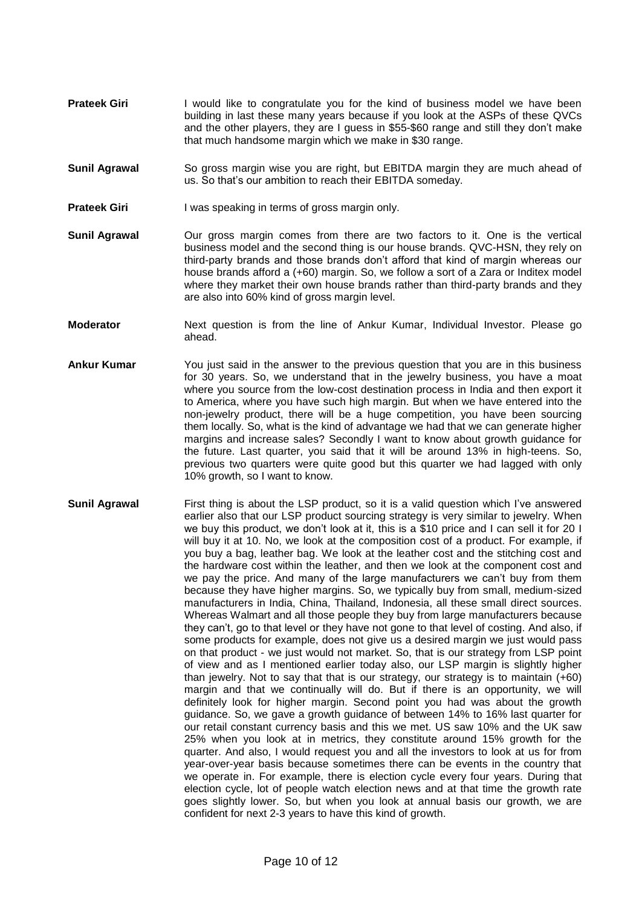- **Prateek Giri** I would like to congratulate you for the kind of business model we have been building in last these many years because if you look at the ASPs of these QVCs and the other players, they are I guess in \$55-\$60 range and still they don't make that much handsome margin which we make in \$30 range.
- **Sunil Agrawal** So gross margin wise you are right, but EBITDA margin they are much ahead of us. So that's our ambition to reach their EBITDA someday.
- **Prateek Giri** I was speaking in terms of gross margin only.
- **Sunil Agrawal** Our gross margin comes from there are two factors to it. One is the vertical business model and the second thing is our house brands. QVC-HSN, they rely on third-party brands and those brands don't afford that kind of margin whereas our house brands afford a (+60) margin. So, we follow a sort of a Zara or Inditex model where they market their own house brands rather than third-party brands and they are also into 60% kind of gross margin level.
- **Moderator** Next question is from the line of Ankur Kumar, Individual Investor. Please go ahead.
- **Ankur Kumar** You just said in the answer to the previous question that you are in this business for 30 years. So, we understand that in the jewelry business, you have a moat where you source from the low-cost destination process in India and then export it to America, where you have such high margin. But when we have entered into the non-jewelry product, there will be a huge competition, you have been sourcing them locally. So, what is the kind of advantage we had that we can generate higher margins and increase sales? Secondly I want to know about growth guidance for the future. Last quarter, you said that it will be around 13% in high-teens. So, previous two quarters were quite good but this quarter we had lagged with only 10% growth, so I want to know.
- **Sunil Agrawal** First thing is about the LSP product, so it is a valid question which I've answered earlier also that our LSP product sourcing strategy is very similar to jewelry. When we buy this product, we don't look at it, this is a \$10 price and I can sell it for 20 I will buy it at 10. No, we look at the composition cost of a product. For example, if you buy a bag, leather bag. We look at the leather cost and the stitching cost and the hardware cost within the leather, and then we look at the component cost and we pay the price. And many of the large manufacturers we can't buy from them because they have higher margins. So, we typically buy from small, medium-sized manufacturers in India, China, Thailand, Indonesia, all these small direct sources. Whereas Walmart and all those people they buy from large manufacturers because they can't, go to that level or they have not gone to that level of costing. And also, if some products for example, does not give us a desired margin we just would pass on that product - we just would not market. So, that is our strategy from LSP point of view and as I mentioned earlier today also, our LSP margin is slightly higher than jewelry. Not to say that that is our strategy, our strategy is to maintain (+60) margin and that we continually will do. But if there is an opportunity, we will definitely look for higher margin. Second point you had was about the growth guidance. So, we gave a growth guidance of between 14% to 16% last quarter for our retail constant currency basis and this we met. US saw 10% and the UK saw 25% when you look at in metrics, they constitute around 15% growth for the quarter. And also, I would request you and all the investors to look at us for from year-over-year basis because sometimes there can be events in the country that we operate in. For example, there is election cycle every four years. During that election cycle, lot of people watch election news and at that time the growth rate goes slightly lower. So, but when you look at annual basis our growth, we are confident for next 2-3 years to have this kind of growth.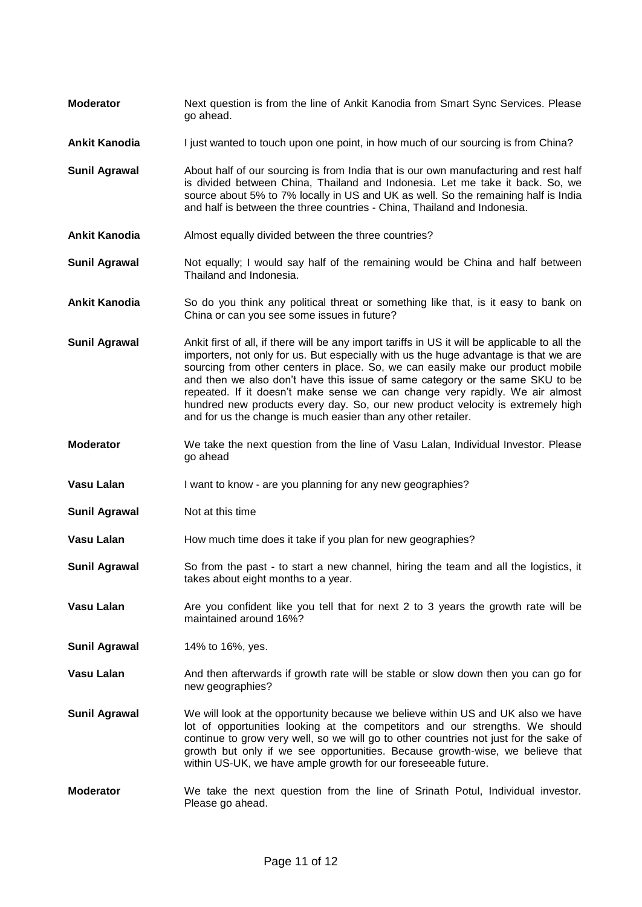- **Moderator** Next question is from the line of Ankit Kanodia from Smart Sync Services. Please go ahead.
- **Ankit Kanodia** I just wanted to touch upon one point, in how much of our sourcing is from China?
- **Sunil Agrawal** About half of our sourcing is from India that is our own manufacturing and rest half is divided between China, Thailand and Indonesia. Let me take it back. So, we source about 5% to 7% locally in US and UK as well. So the remaining half is India and half is between the three countries - China, Thailand and Indonesia.
- **Ankit Kanodia** Almost equally divided between the three countries?
- **Sunil Agrawal** Not equally; I would say half of the remaining would be China and half between Thailand and Indonesia.
- **Ankit Kanodia** So do you think any political threat or something like that, is it easy to bank on China or can you see some issues in future?
- **Sunil Agrawal** Ankit first of all, if there will be any import tariffs in US it will be applicable to all the importers, not only for us. But especially with us the huge advantage is that we are sourcing from other centers in place. So, we can easily make our product mobile and then we also don't have this issue of same category or the same SKU to be repeated. If it doesn't make sense we can change very rapidly. We air almost hundred new products every day. So, our new product velocity is extremely high and for us the change is much easier than any other retailer.
- **Moderator** We take the next question from the line of Vasu Lalan, Individual Investor. Please go ahead
- **Vasu Lalan** I want to know are you planning for any new geographies?
- **Sunil Agrawal** Not at this time
- **Vasu Lalan** How much time does it take if you plan for new geographies?
- **Sunil Agrawal** So from the past to start a new channel, hiring the team and all the logistics, it takes about eight months to a year.
- **Vasu Lalan** Are you confident like you tell that for next 2 to 3 years the growth rate will be maintained around 16%?
- **Sunil Agrawal** 14% to 16%, yes.
- **Vasu Lalan** And then afterwards if growth rate will be stable or slow down then you can go for new geographies?
- **Sunil Agrawal** We will look at the opportunity because we believe within US and UK also we have lot of opportunities looking at the competitors and our strengths. We should continue to grow very well, so we will go to other countries not just for the sake of growth but only if we see opportunities. Because growth-wise, we believe that within US-UK, we have ample growth for our foreseeable future.
- **Moderator** We take the next question from the line of Srinath Potul, Individual investor. Please go ahead.